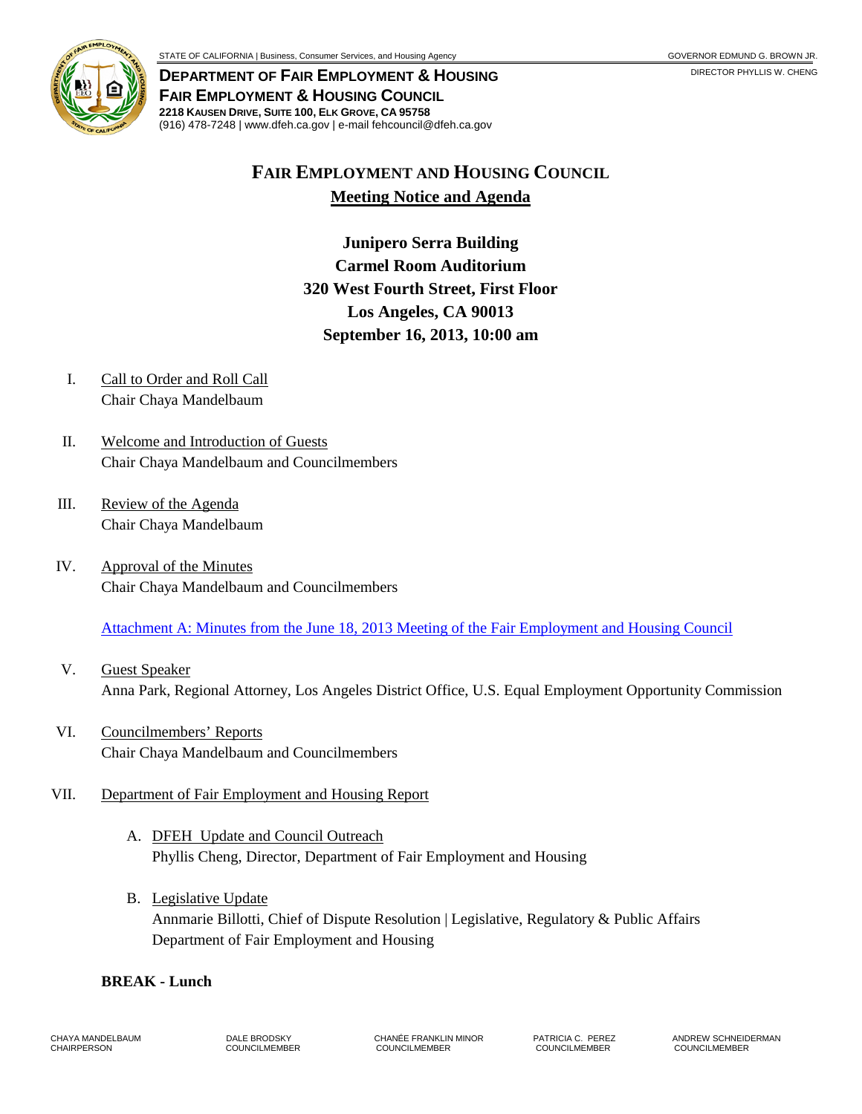

**DEPARTMENT OF FAIR EMPLOYMENT & HOUSING FAIR EMPLOYMENT & HOUSING COUNCIL 2218 KAUSEN DRIVE, SUITE 100, ELK GROVE, CA 95758** (916) 478-7248 | www.dfeh.ca.gov | e-mail fehcouncil@dfeh.ca.gov

# **FAIR EMPLOYMENT AND HOUSING COUNCIL Meeting Notice and Agenda**

**Junipero Serra Building Carmel Room Auditorium 320 West Fourth Street, First Floor Los Angeles, CA 90013 September 16, 2013, 10:00 am** 

- I. Call to Order and Roll Call Chair Chaya Mandelbaum
- II. Welcome and Introduction of Guests Chair Chaya Mandelbaum and Councilmembers
- III. Review of the Agenda Chair Chaya Mandelbaum
- IV. Approval of the Minutes Chair Chaya Mandelbaum and Councilmembers

[Attachment A: Minutes from the June 18, 2013 Meeting of the Fair Employment and Housing Council](/wp-content/uploads/sites/32/2017/06/ATTACHA-2013Sep16.pdf)

- V. Guest Speaker Anna Park, Regional Attorney, Los Angeles District Office, U.S. Equal Employment Opportunity Commission
- VI. Councilmembers' Reports Chair Chaya Mandelbaum and Councilmembers

## VII. Department of Fair Employment and Housing Report

- A. DFEH Update and Council Outreach Phyllis Cheng, Director, Department of Fair Employment and Housing
- B. Legislative Update Annmarie Billotti, Chief of Dispute Resolution | Legislative, Regulatory & Public Affairs Department of Fair Employment and Housing

#### **BREAK - Lunch**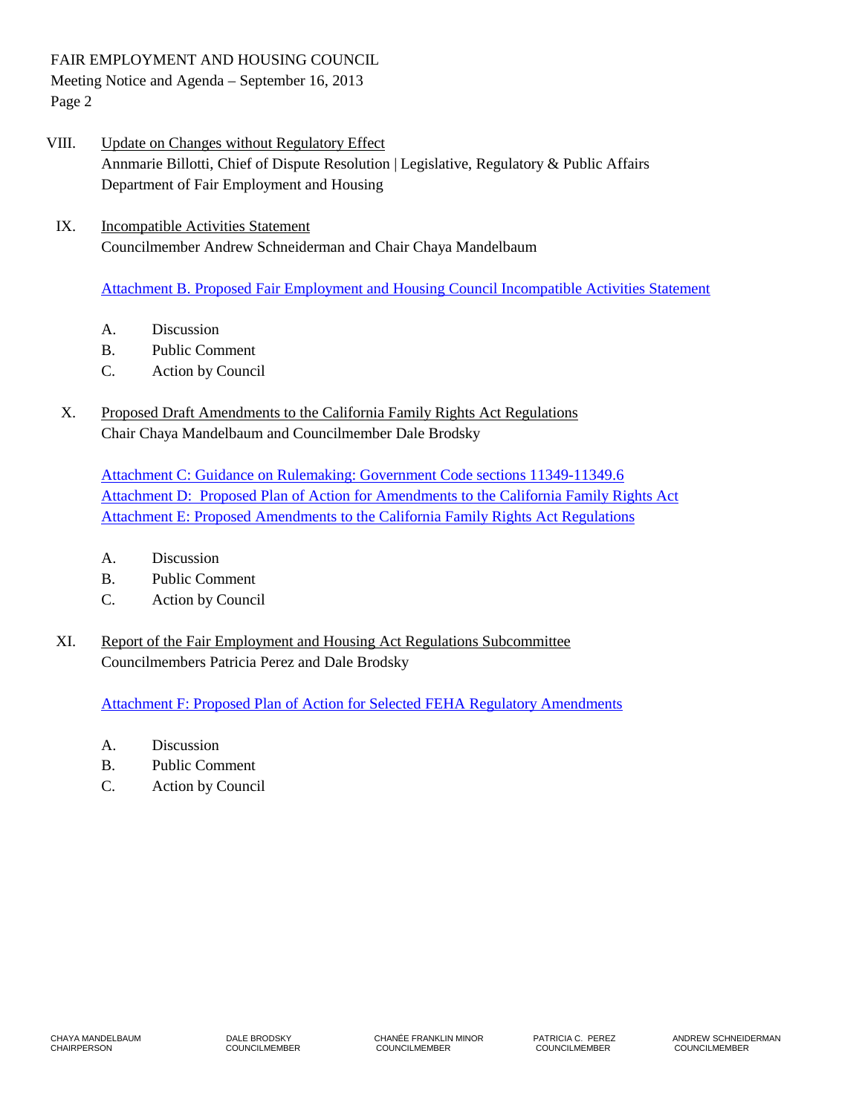FAIR EMPLOYMENT AND HOUSING COUNCIL Meeting Notice and Agenda – September 16, 2013 Page 2

- VIII. Update on Changes without Regulatory Effect Annmarie Billotti, Chief of Dispute Resolution | Legislative, Regulatory & Public Affairs Department of Fair Employment and Housing
	- IX. Incompatible Activities Statement Councilmember Andrew Schneiderman and Chair Chaya Mandelbaum

[Attachment B. Proposed Fair Employment and Housing Council Incompatible Activities](/wp-content/uploads/sites/32/2017/06/ATTACB-2013Sep16.pdf) Statement

- A. Discussion
- B. Public Comment
- C. Action by Council
- X. Proposed Draft Amendments to the California Family Rights Act Regulations Chair Chaya Mandelbaum and Councilmember Dale Brodsky

[Attachment C: Guidance on Rulemaking: Government Code sections 11349-11349.6](/wp-content/uploads/sites/32/2017/06/ATTACHC-2013Sep16.pdf) Attachment D: Proposed Plan of Action [for Amendments to the California Family Rights Act](/wp-content/uploads/sites/32/2017/06/ATTACHD-2013Sep16.pdf) [Attachment E: Proposed Amendments to the California Family Rights Act Regulations](/wp-content/uploads/sites/32/2017/06/ATTACHE-2013Sep16.pdf)

- A. Discussion
- B. Public Comment
- C. Action by Council
- XI. Report of the Fair Employment and Housing Act Regulations Subcommittee Councilmembers Patricia Perez and Dale Brodsky

[Attachment F: Proposed Plan of Action for Selected FEHA Regulatory Amendments](/wp-content/uploads/sites/32/2017/06/ATTACHF-2013Sep16.pdf)

- A. Discussion
- B. Public Comment
- C. Action by Council